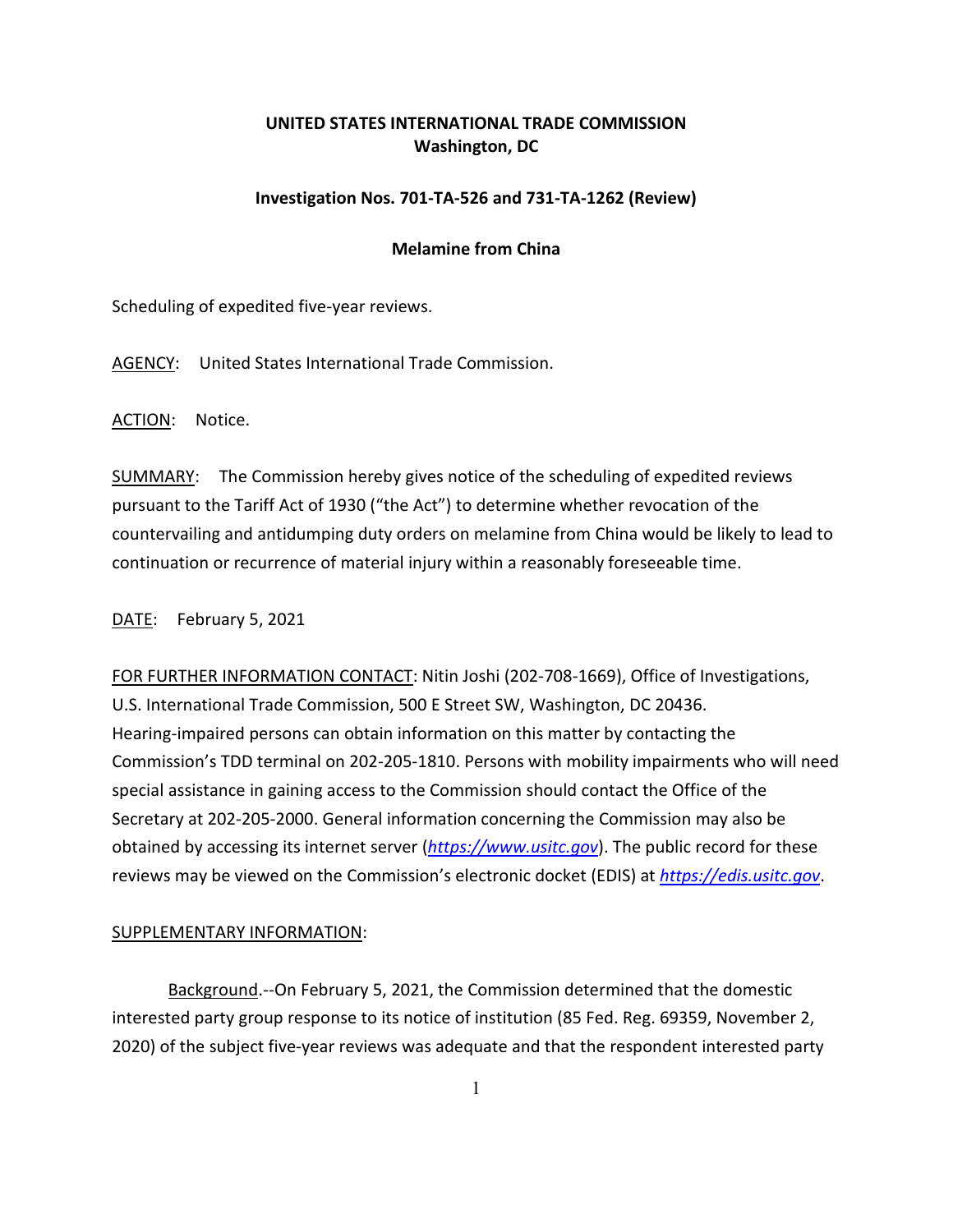## **UNITED STATES INTERNATIONAL TRADE COMMISSION Washington, DC**

## **Investigation Nos. 701-TA-526 and 731-TA-1262 (Review)**

## **Melamine from China**

Scheduling of expedited five-year reviews.

AGENCY: United States International Trade Commission.

ACTION: Notice.

SUMMARY: The Commission hereby gives notice of the scheduling of expedited reviews pursuant to the Tariff Act of 1930 ("the Act") to determine whether revocation of the countervailing and antidumping duty orders on melamine from China would be likely to lead to continuation or recurrence of material injury within a reasonably foreseeable time.

DATE: February 5, 2021

FOR FURTHER INFORMATION CONTACT: Nitin Joshi (202-708-1669), Office of Investigations, U.S. International Trade Commission, 500 E Street SW, Washington, DC 20436. Hearing-impaired persons can obtain information on this matter by contacting the Commission's TDD terminal on 202-205-1810. Persons with mobility impairments who will need special assistance in gaining access to the Commission should contact the Office of the Secretary at 202-205-2000. General information concerning the Commission may also be obtained by accessing its internet server (*[https://www.usitc.gov](https://www.usitc.gov/)*). The public record for these reviews may be viewed on the Commission's electronic docket (EDIS) at *[https://edis.usitc.gov](https://edis.usitc.gov/)*.

## SUPPLEMENTARY INFORMATION:

Background.--On February 5, 2021, the Commission determined that the domestic interested party group response to its notice of institution (85 Fed. Reg. 69359, November 2, 2020) of the subject five-year reviews was adequate and that the respondent interested party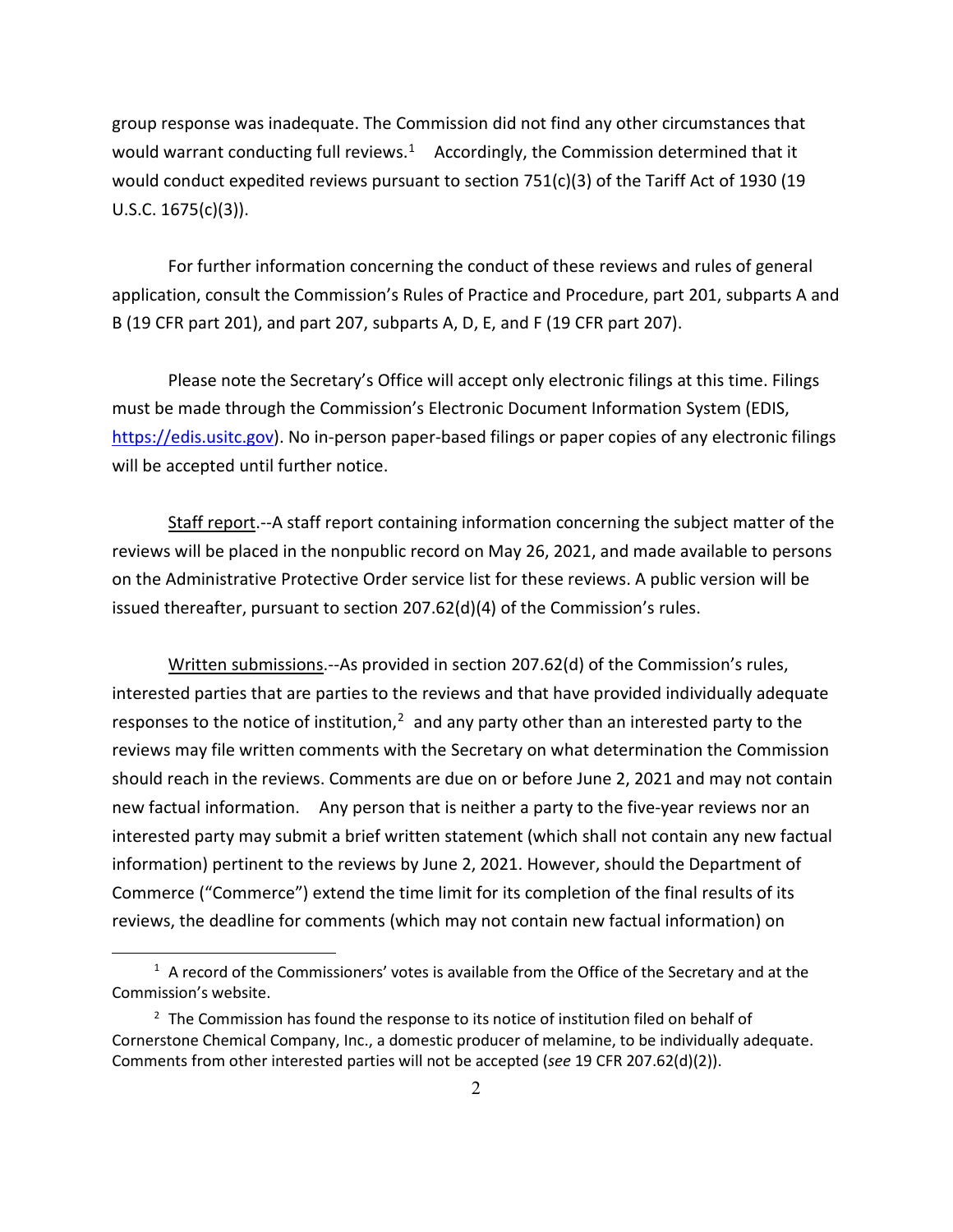group response was inadequate. The Commission did not find any other circumstances that would warrant conducting full reviews.<sup>1</sup> Accordingly, the Commission determined that it would conduct expedited reviews pursuant to section 751(c)(3) of the Tariff Act of 1930 (19 U.S.C. 1675(c)(3)).

For further information concerning the conduct of these reviews and rules of general application, consult the Commission's Rules of Practice and Procedure, part 201, subparts A and B (19 CFR part 201), and part 207, subparts A, D, E, and F (19 CFR part 207).

Please note the Secretary's Office will accept only electronic filings at this time. Filings must be made through the Commission's Electronic Document Information System (EDIS, [https://edis.usitc.gov\)](https://edis.usitc.gov/). No in-person paper-based filings or paper copies of any electronic filings will be accepted until further notice.

Staff report.--A staff report containing information concerning the subject matter of the reviews will be placed in the nonpublic record on May 26, 2021, and made available to persons on the Administrative Protective Order service list for these reviews. A public version will be issued thereafter, pursuant to section 207.62(d)(4) of the Commission's rules.

Written submissions.--As provided in section 207.62(d) of the Commission's rules, interested parties that are parties to the reviews and that have provided individually adequate responses to the notice of institution, $<sup>2</sup>$  $<sup>2</sup>$  $<sup>2</sup>$  and any party other than an interested party to the</sup> reviews may file written comments with the Secretary on what determination the Commission should reach in the reviews. Comments are due on or before June 2, 2021 and may not contain new factual information. Any person that is neither a party to the five-year reviews nor an interested party may submit a brief written statement (which shall not contain any new factual information) pertinent to the reviews by June 2, 2021. However, should the Department of Commerce ("Commerce") extend the time limit for its completion of the final results of its reviews, the deadline for comments (which may not contain new factual information) on

<span id="page-1-0"></span> $1$  A record of the Commissioners' votes is available from the Office of the Secretary and at the Commission's website.

<span id="page-1-1"></span> $2$  The Commission has found the response to its notice of institution filed on behalf of Cornerstone Chemical Company, Inc., a domestic producer of melamine, to be individually adequate. Comments from other interested parties will not be accepted (*see* 19 CFR 207.62(d)(2)).